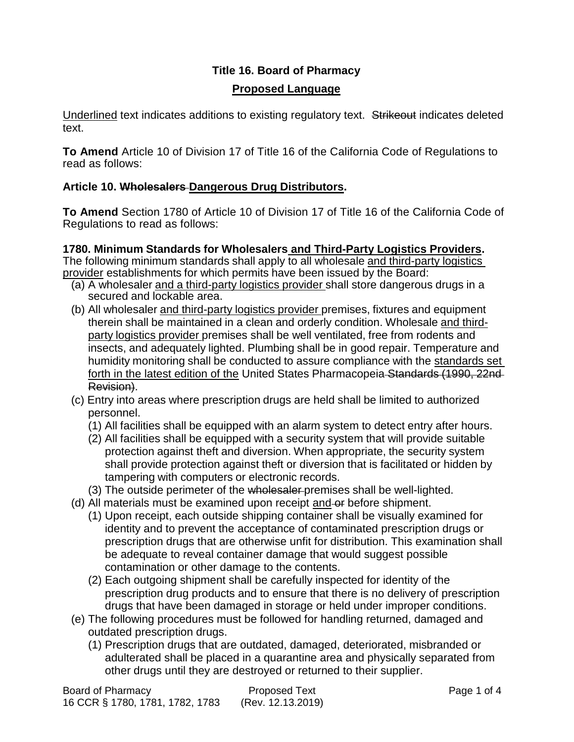# **Title 16. Board of Pharmacy Proposed Language**

Underlined text indicates additions to existing regulatory text. Strikeout indicates deleted text.

**To Amend** Article 10 of Division 17 of Title 16 of the California Code of Regulations to read as follows:

## **Article 10. Wholesalers Dangerous Drug Distributors.**

**To Amend** Section 1780 of Article 10 of Division 17 of Title 16 of the California Code of Regulations to read as follows:

## **1780. Minimum Standards for Wholesalers and Third-Party Logistics Providers.**

The following minimum standards shall apply to all wholesale and third-party logistics provider establishments for which permits have been issued by the Board:

- (a) A wholesaler and a third-party logistics provider shall store dangerous drugs in a secured and lockable area.
- (b) All wholesaler and third-party logistics provider premises, fixtures and equipment therein shall be maintained in a clean and orderly condition. Wholesale and thirdparty logistics provider premises shall be well ventilated, free from rodents and insects, and adequately lighted. Plumbing shall be in good repair. Temperature and humidity monitoring shall be conducted to assure compliance with the standards set forth in the latest edition of the United States Pharmacopeia Standards (1990, 22nd Revision).
- (c) Entry into areas where prescription drugs are held shall be limited to authorized personnel.
	- (1) All facilities shall be equipped with an alarm system to detect entry after hours.
	- (2) All facilities shall be equipped with a security system that will provide suitable protection against theft and diversion. When appropriate, the security system shall provide protection against theft or diversion that is facilitated or hidden by tampering with computers or electronic records.
	- (3) The outside perimeter of the wholesaler premises shall be well-lighted.
- (d) All materials must be examined upon receipt and or before shipment.
	- (1) Upon receipt, each outside shipping container shall be visually examined for identity and to prevent the acceptance of contaminated prescription drugs or prescription drugs that are otherwise unfit for distribution. This examination shall be adequate to reveal container damage that would suggest possible contamination or other damage to the contents.
	- (2) Each outgoing shipment shall be carefully inspected for identity of the prescription drug products and to ensure that there is no delivery of prescription drugs that have been damaged in storage or held under improper conditions.
- (e) The following procedures must be followed for handling returned, damaged and outdated prescription drugs.
	- (1) Prescription drugs that are outdated, damaged, deteriorated, misbranded or adulterated shall be placed in a quarantine area and physically separated from other drugs until they are destroyed or returned to their supplier.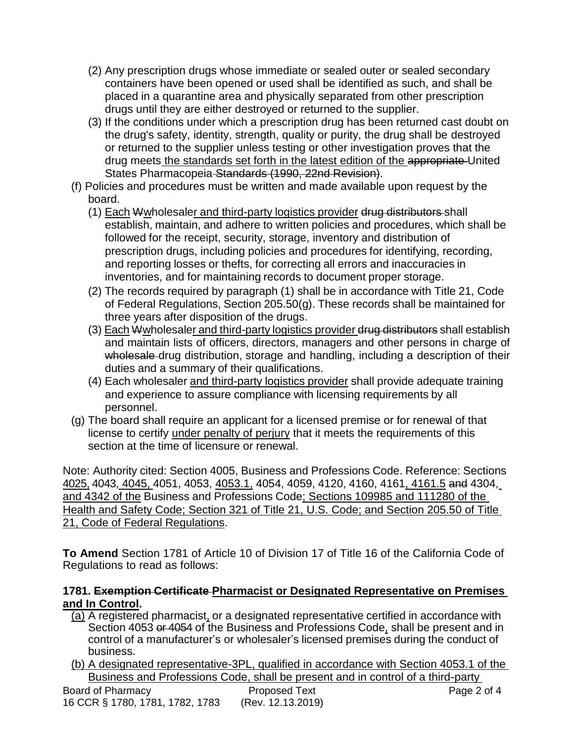- (2) Any prescription drugs whose immediate or sealed outer or sealed secondary containers have been opened or used shall be identified as such, and shall be placed in a quarantine area and physically separated from other prescription drugs until they are either destroyed or returned to the supplier.
- (3) If the conditions under which a prescription drug has been returned cast doubt on the drug's safety, identity, strength, quality or purity, the drug shall be destroyed or returned to the supplier unless testing or other investigation proves that the drug meets the standards set forth in the latest edition of the appropriate United States Pharmacopeia Standards (1990, 22nd Revision).
- (f) Policies and procedures must be written and made available upon request by the board.
	- (1) Each Wwholesaler and third-party logistics provider drug distributors-shall establish, maintain, and adhere to written policies and procedures, which shall be followed for the receipt, security, storage, inventory and distribution of prescription drugs, including policies and procedures for identifying, recording, and reporting losses or thefts, for correcting all errors and inaccuracies in inventories, and for maintaining records to document proper storage.
	- (2) The records required by paragraph (1) shall be in accordance with Title 21, Code of Federal Regulations, Section 205.50(g). These records shall be maintained for three years after disposition of the drugs.
	- (3) Each Wwholesaler and third-party logistics provider drug distributors shall establish and maintain lists of officers, directors, managers and other persons in charge of wholesale drug distribution, storage and handling, including a description of their duties and a summary of their qualifications.
	- (4) Each wholesaler and third-party logistics provider shall provide adequate training and experience to assure compliance with licensing requirements by all personnel.
- (g) The board shall require an applicant for a licensed premise or for renewal of that license to certify under penalty of perjury that it meets the requirements of this section at the time of licensure or renewal.

Note: Authority cited: Section 4005, Business and Professions Code. Reference: Sections 4025, 4043, 4045, 4051, 4053, 4053.1, 4054, 4059, 4120, 4160, 4161, 4161.5 and 4304, and 4342 of the Business and Professions Code; Sections 109985 and 111280 of the Health and Safety Code; Section 321 of Title 21, U.S. Code; and Section 205.50 of Title 21, Code of Federal Regulations.

**To Amend** Section 1781 of Article 10 of Division 17 of Title 16 of the California Code of Regulations to read as follows:

## **1781. Exemption Certificate Pharmacist or Designated Representative on Premises and In Control.**

- (a) A registered pharmacist, or a designated representative certified in accordance with Section 4053 or 4054 of the Business and Professions Code, shall be present and in control of a manufacturer's or wholesaler's licensed premises during the conduct of business.
- (b) A designated representative-3PL, qualified in accordance with Section 4053.1 of the Business and Professions Code, shall be present and in control of a third-party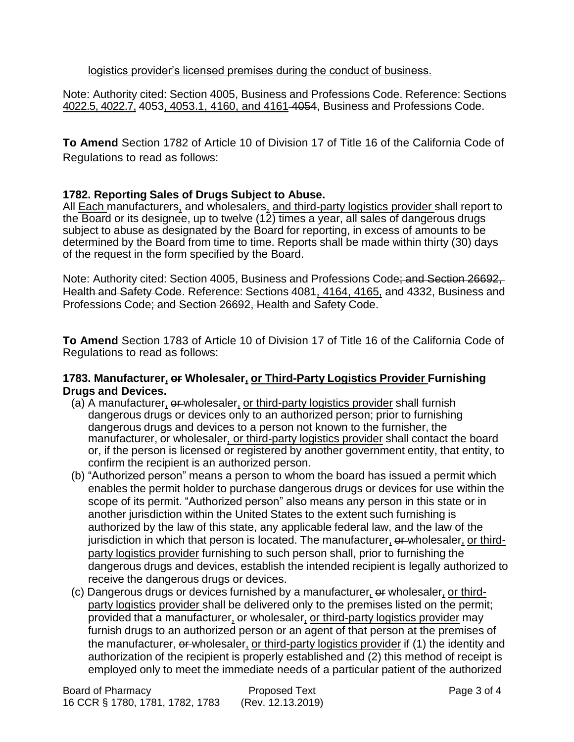#### logistics provider's licensed premises during the conduct of business.

Note: Authority cited: Section 4005, Business and Professions Code. Reference: Sections 4022.5, 4022.7, 4053, 4053.1, 4160, and 4161 4054, Business and Professions Code.

**To Amend** Section 1782 of Article 10 of Division 17 of Title 16 of the California Code of Regulations to read as follows:

## **1782. Reporting Sales of Drugs Subject to Abuse.**

All Each manufacturers, and wholesalers, and third-party logistics provider shall report to the Board or its designee, up to twelve  $(12)$  times a year, all sales of dangerous drugs subject to abuse as designated by the Board for reporting, in excess of amounts to be determined by the Board from time to time. Reports shall be made within thirty (30) days of the request in the form specified by the Board.

Note: Authority cited: Section 4005, Business and Professions Code; and Section 26692, Health and Safety Code. Reference: Sections 4081, 4164, 4165, and 4332, Business and Professions Code; and Section 26692, Health and Safety Code.

**To Amend** Section 1783 of Article 10 of Division 17 of Title 16 of the California Code of Regulations to read as follows:

#### **1783. Manufacturer, or Wholesaler, or Third-Party Logistics Provider Furnishing Drugs and Devices.**

- (a) A manufacturer,  $\theta$ -wholesaler, or third-party logistics provider shall furnish dangerous drugs or devices only to an authorized person; prior to furnishing dangerous drugs and devices to a person not known to the furnisher, the manufacturer, or wholesaler, or third-party logistics provider shall contact the board or, if the person is licensed or registered by another government entity, that entity, to confirm the recipient is an authorized person.
- (b) "Authorized person" means a person to whom the board has issued a permit which enables the permit holder to purchase dangerous drugs or devices for use within the scope of its permit. "Authorized person" also means any person in this state or in another jurisdiction within the United States to the extent such furnishing is authorized by the law of this state, any applicable federal law, and the law of the jurisdiction in which that person is located. The manufacturer, or wholesaler, or thirdparty logistics provider furnishing to such person shall, prior to furnishing the dangerous drugs and devices, establish the intended recipient is legally authorized to receive the dangerous drugs or devices.
- (c) Dangerous drugs or devices furnished by a manufacturer*,* or wholesaler, or thirdparty logistics provider shall be delivered only to the premises listed on the permit; provided that a manufacturer, or wholesaler, or third-party logistics provider may furnish drugs to an authorized person or an agent of that person at the premises of the manufacturer, or wholesaler, or third-party logistics provider if (1) the identity and authorization of the recipient is properly established and (2) this method of receipt is employed only to meet the immediate needs of a particular patient of the authorized